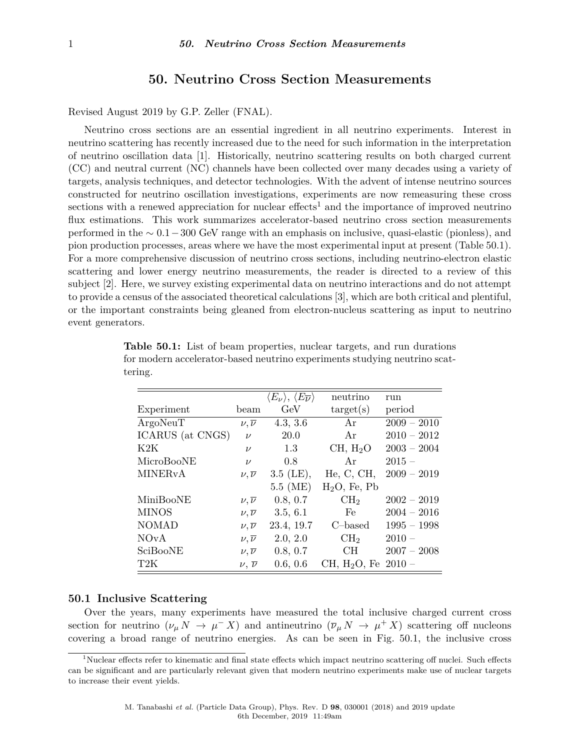# **50. Neutrino Cross Section Measurements**

Revised August 2019 by G.P. Zeller (FNAL).

Neutrino cross sections are an essential ingredient in all neutrino experiments. Interest in neutrino scattering has recently increased due to the need for such information in the interpretation of neutrino oscillation data [\[1\]](#page-6-0). Historically, neutrino scattering results on both charged current (CC) and neutral current (NC) channels have been collected over many decades using a variety of targets, analysis techniques, and detector technologies. With the advent of intense neutrino sources constructed for neutrino oscillation investigations, experiments are now remeasuring these cross sections with a renewed appreciation for nuclear effects<sup>[1](#page-0-0)</sup> and the importance of improved neutrino flux estimations. This work summarizes accelerator-based neutrino cross section measurements performed in the ∼ 0*.*1−300 GeV range with an emphasis on inclusive, quasi-elastic (pionless), and pion production processes, areas where we have the most experimental input at present (Table [50.1\)](#page-0-1). For a more comprehensive discussion of neutrino cross sections, including neutrino-electron elastic scattering and lower energy neutrino measurements, the reader is directed to a review of this subject [\[2\]](#page-6-1). Here, we survey existing experimental data on neutrino interactions and do not attempt to provide a census of the associated theoretical calculations [\[3\]](#page-6-2), which are both critical and plentiful, or the important constraints being gleaned from electron-nucleus scattering as input to neutrino event generators.

|                           |                       | $\langle E_\nu \rangle,\,\langle E_{\overline{\nu}} \rangle$ | neutrino                 | run           |
|---------------------------|-----------------------|--------------------------------------------------------------|--------------------------|---------------|
| Experiment                | beam                  | GeV                                                          | $\text{target}(s)$       | period        |
| ArgoNeuT                  | $\nu, \overline{\nu}$ | 4.3, 3.6                                                     | Ar                       | $2009 - 2010$ |
| ICARUS (at CNGS)          | $\nu$                 | 20.0                                                         | Ar                       | $2010 - 2012$ |
| K2K                       | $\nu$                 | 1.3                                                          | CH, H <sub>2</sub> O     | $2003 - 2004$ |
| MicroBooNE                | $\nu$                 | 0.8                                                          | Ar                       | $2015 -$      |
| <b>MINER<sub>v</sub>A</b> | $\nu, \overline{\nu}$ | $3.5$ (LE),                                                  | He, C, CH,               | $2009 - 2019$ |
|                           |                       | $5.5$ (ME)                                                   | $H2O$ , Fe, Pb           |               |
| MiniBooNE                 | $\nu, \overline{\nu}$ | 0.8, 0.7                                                     | CH <sub>2</sub>          | $2002 - 2019$ |
| <b>MINOS</b>              | $\nu, \overline{\nu}$ | 3.5, 6.1                                                     | Fe                       | $2004 - 2016$ |
| <b>NOMAD</b>              | $\nu, \overline{\nu}$ | 23.4, 19.7                                                   | C–based                  | $1995 - 1998$ |
| <b>NOvA</b>               | $\nu, \overline{\nu}$ | 2.0, 2.0                                                     | CH <sub>2</sub>          | $2010 -$      |
| SciBooNE                  | $\nu, \overline{\nu}$ | 0.8, 0.7                                                     | <b>CH</b>                | $2007 - 2008$ |
| T <sub>2</sub> K          | $\nu, \overline{\nu}$ | 0.6, 0.6                                                     | CH, H <sub>2</sub> O, Fe | $2010-$       |

<span id="page-0-1"></span>**Table 50.1:** List of beam properties, nuclear targets, and run durations for modern accelerator-based neutrino experiments studying neutrino scattering.

## **50.1 Inclusive Scattering**

Over the years, many experiments have measured the total inclusive charged current cross section for neutrino  $(\nu_{\mu} N \to \mu^- X)$  and antineutrino  $(\overline{\nu}_{\mu} N \to \mu^+ X)$  scattering off nucleons covering a broad range of neutrino energies. As can be seen in Fig. [50.1,](#page-1-0) the inclusive cross

<span id="page-0-0"></span><sup>&</sup>lt;sup>1</sup>Nuclear effects refer to kinematic and final state effects which impact neutrino scattering off nuclei. Such effects can be significant and are particularly relevant given that modern neutrino experiments make use of nuclear targets to increase their event yields.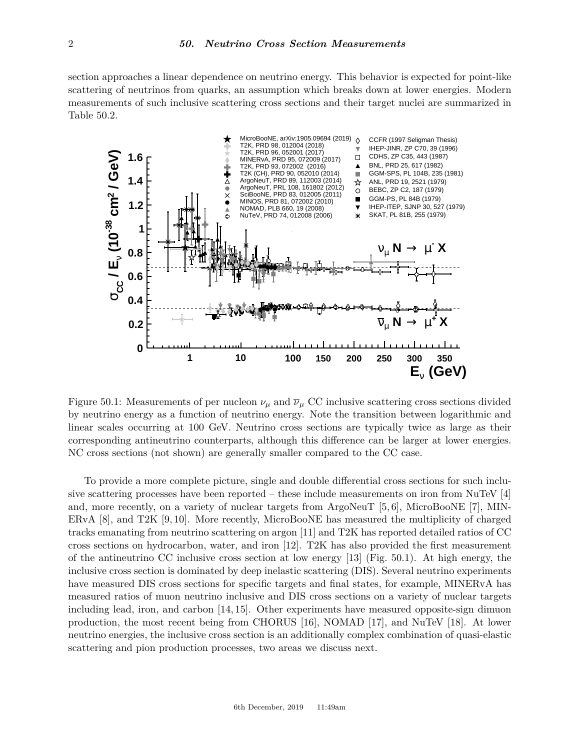section approaches a linear dependence on neutrino energy. This behavior is expected for point-like scattering of neutrinos from quarks, an assumption which breaks down at lower energies. Modern measurements of such inclusive scattering cross sections and their target nuclei are summarized in Table [50.2.](#page-2-0)

<span id="page-1-0"></span>

Figure 50.1: Measurements of per nucleon  $\nu_{\mu}$  and  $\overline{\nu}_{\mu}$  CC inclusive scattering cross sections divided by neutrino energy as a function of neutrino energy. Note the transition between logarithmic and linear scales occurring at 100 GeV. Neutrino cross sections are typically twice as large as their corresponding antineutrino counterparts, although this difference can be larger at lower energies. NC cross sections (not shown) are generally smaller compared to the CC case.

To provide a more complete picture, single and double differential cross sections for such inclusive scattering processes have been reported – these include measurements on iron from NuTeV [\[4\]](#page-6-3) and, more recently, on a variety of nuclear targets from ArgoNeuT [\[5,](#page-6-4) [6\]](#page-6-5), MicroBooNE [\[7\]](#page-6-6), MIN-ERvA [\[8\]](#page-6-7), and T2K [\[9,](#page-6-8) [10\]](#page-6-9). More recently, MicroBooNE has measured the multiplicity of charged tracks emanating from neutrino scattering on argon [\[11\]](#page-6-10) and T2K has reported detailed ratios of CC cross sections on hydrocarbon, water, and iron [\[12\]](#page-6-11). T2K has also provided the first measurement of the antineutrino CC inclusive cross section at low energy [\[13\]](#page-6-12) (Fig. [50.1\)](#page-1-0). At high energy, the inclusive cross section is dominated by deep inelastic scattering (DIS). Several neutrino experiments have measured DIS cross sections for specific targets and final states, for example, MINERvA has measured ratios of muon neutrino inclusive and DIS cross sections on a variety of nuclear targets including lead, iron, and carbon [\[14,](#page-6-13) [15\]](#page-7-0). Other experiments have measured opposite-sign dimuon production, the most recent being from CHORUS [\[16\]](#page-7-1), NOMAD [\[17\]](#page-7-2), and NuTeV [\[18\]](#page-7-3). At lower neutrino energies, the inclusive cross section is an additionally complex combination of quasi-elastic scattering and pion production processes, two areas we discuss next.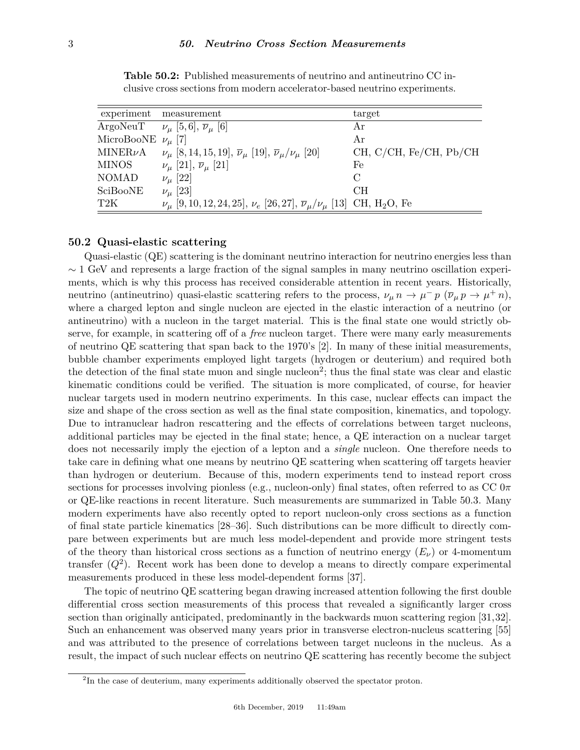<span id="page-2-0"></span>

| experiment    | measurement                                                                                                         | target                 |
|---------------|---------------------------------------------------------------------------------------------------------------------|------------------------|
|               | ArgoNeuT $\nu_{\mu}$ [5,6], $\overline{\nu}_{\mu}$ [6]                                                              | Ar                     |
| MicroBooNE    | $\nu_{\mu}$ [7]                                                                                                     | Ar                     |
| MINER $\nu$ A | $\nu_{\mu}$ [8, 14, 15, 19], $\overline{\nu}_{\mu}$ [19], $\overline{\nu}_{\mu}/\nu_{\mu}$ [20]                     | CH, C/CH, Fe/CH, Pb/CH |
| <b>MINOS</b>  | $\nu_{\mu}$ [21], $\overline{\nu}_{\mu}$ [21]                                                                       | Fe                     |
| <b>NOMAD</b>  | $\nu_{\mu}$ [22]                                                                                                    | $\Gamma$               |
| SciBooNE      | $\nu_{\mu}$ [23]                                                                                                    | CH                     |
| T2K           | $\nu_{\mu}$ [9, 10, 12, 24, 25], $\nu_{e}$ [26, 27], $\overline{\nu}_{\mu}/\nu_{\mu}$ [13] CH, H <sub>2</sub> O, Fe |                        |

**Table 50.2:** Published measurements of neutrino and antineutrino CC inclusive cross sections from modern accelerator-based neutrino experiments.

### **50.2 Quasi-elastic scattering**

Quasi-elastic (QE) scattering is the dominant neutrino interaction for neutrino energies less than  $\sim$  1 GeV and represents a large fraction of the signal samples in many neutrino oscillation experiments, which is why this process has received considerable attention in recent years. Historically, neutrino (antineutrino) quasi-elastic scattering refers to the process,  $\nu_{\mu} n \to \mu^- p \ (\overline{\nu}_{\mu} p \to \mu^+ n)$ , where a charged lepton and single nucleon are ejected in the elastic interaction of a neutrino (or antineutrino) with a nucleon in the target material. This is the final state one would strictly observe, for example, in scattering off of a *free* nucleon target. There were many early measurements of neutrino QE scattering that span back to the 1970's [\[2\]](#page-6-1). In many of these initial measurements, bubble chamber experiments employed light targets (hydrogen or deuterium) and required both the detection of the final state muon and single nucleon<sup>[2](#page-2-1)</sup>; thus the final state was clear and elastic kinematic conditions could be verified. The situation is more complicated, of course, for heavier nuclear targets used in modern neutrino experiments. In this case, nuclear effects can impact the size and shape of the cross section as well as the final state composition, kinematics, and topology. Due to intranuclear hadron rescattering and the effects of correlations between target nucleons, additional particles may be ejected in the final state; hence, a QE interaction on a nuclear target does not necessarily imply the ejection of a lepton and a *single* nucleon. One therefore needs to take care in defining what one means by neutrino QE scattering when scattering off targets heavier than hydrogen or deuterium. Because of this, modern experiments tend to instead report cross sections for processes involving pionless (e.g., nucleon-only) final states, often referred to as CC 0*π* or QE-like reactions in recent literature. Such measurements are summarized in Table [50.3.](#page-3-0) Many modern experiments have also recently opted to report nucleon-only cross sections as a function of final state particle kinematics [\[28](#page-7-13)[–36\]](#page-7-14). Such distributions can be more difficult to directly compare between experiments but are much less model-dependent and provide more stringent tests of the theory than historical cross sections as a function of neutrino energy  $(E_{\nu})$  or 4-momentum transfer  $(Q^2)$ . Recent work has been done to develop a means to directly compare experimental measurements produced in these less model-dependent forms [\[37\]](#page-7-15).

The topic of neutrino QE scattering began drawing increased attention following the first double differential cross section measurements of this process that revealed a significantly larger cross section than originally anticipated, predominantly in the backwards muon scattering region [\[31,](#page-7-16)[32\]](#page-7-17). Such an enhancement was observed many years prior in transverse electron-nucleus scattering [\[55\]](#page-8-0) and was attributed to the presence of correlations between target nucleons in the nucleus. As a result, the impact of such nuclear effects on neutrino QE scattering has recently become the subject

<span id="page-2-1"></span><sup>&</sup>lt;sup>2</sup>In the case of deuterium, many experiments additionally observed the spectator proton.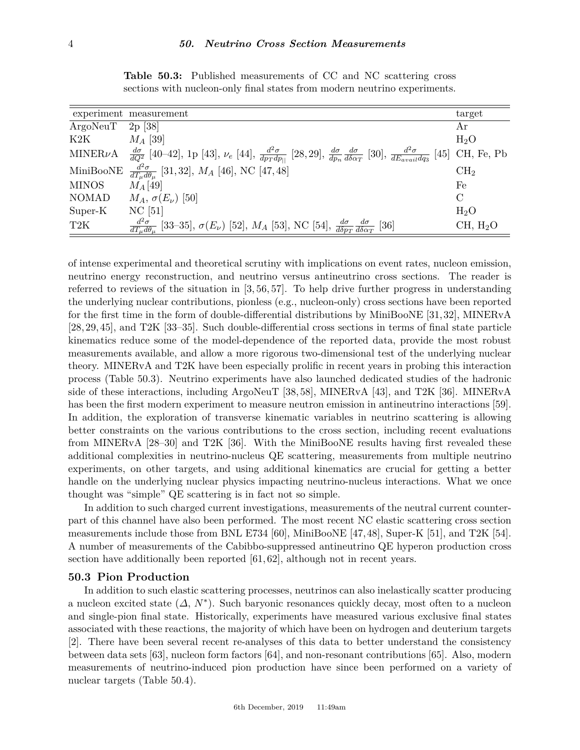<span id="page-3-0"></span>

|                  | experiment measurement                                                                                                                                                                                           | target               |
|------------------|------------------------------------------------------------------------------------------------------------------------------------------------------------------------------------------------------------------|----------------------|
| ArgoNeuT         | $2p \; [38]$                                                                                                                                                                                                     | Αr                   |
| K2K              | $M_A$ [39]                                                                                                                                                                                                       | $H_2O$               |
| MINER $\nu$ A    | $\frac{d\sigma}{dQ^2}$ [40–42], 1p [43], $\nu_e$ [44], $\frac{d^2\sigma}{dp_T dp_{  }}$ [28, 29], $\frac{d\sigma}{dp_n}\frac{d\sigma}{d\delta\alpha_T}$ [30], $\frac{d^2\sigma}{dE_{avail}dq_3}$ [45] CH, Fe, Pb |                      |
| MiniBooNE        | $\frac{d^2\sigma}{dT_u d\theta_u}$ [31,32], M <sub>A</sub> [46], NC [47,48]                                                                                                                                      | CH <sub>2</sub>      |
| <b>MINOS</b>     | $M_A$ [49]                                                                                                                                                                                                       | Fe                   |
| <b>NOMAD</b>     | $M_A$ , $\sigma(E_\nu)$ [50]                                                                                                                                                                                     | $\mathcal{C}$        |
| Super-K          | $NC$ [51]                                                                                                                                                                                                        | $H_2O$               |
| T <sub>2</sub> K | $\frac{d^2\sigma}{dT_u d\theta_u}$ [33–35], $\sigma(E_\nu)$ [52], $M_A$ [53], NC [54], $\frac{d\sigma}{d\delta p_T} \frac{d\sigma}{d\delta \alpha_T}$ [36]                                                       | CH, H <sub>2</sub> O |

**Table 50.3:** Published measurements of CC and NC scattering cross sections with nucleon-only final states from modern neutrino experiments.

of intense experimental and theoretical scrutiny with implications on event rates, nucleon emission, neutrino energy reconstruction, and neutrino versus antineutrino cross sections. The reader is referred to reviews of the situation in [\[3,](#page-6-2) [56,](#page-8-6) [57\]](#page-8-7). To help drive further progress in understanding the underlying nuclear contributions, pionless (e.g., nucleon-only) cross sections have been reported for the first time in the form of double-differential distributions by MiniBooNE [\[31,](#page-7-16) [32\]](#page-7-17), MINERvA [\[28,](#page-7-13) [29,](#page-7-24) [45\]](#page-7-26), and T2K [\[33](#page-7-31)[–35\]](#page-7-32). Such double-differential cross sections in terms of final state particle kinematics reduce some of the model-dependence of the reported data, provide the most robust measurements available, and allow a more rigorous two-dimensional test of the underlying nuclear theory. MINERvA and T2K have been especially prolific in recent years in probing this interaction process (Table [50.3\)](#page-3-0). Neutrino experiments have also launched dedicated studies of the hadronic side of these interactions, including ArgoNeuT [\[38,](#page-7-18) [58\]](#page-8-8), MINERvA [\[43\]](#page-7-22), and T2K [\[36\]](#page-7-14). MINERvA has been the first modern experiment to measure neutron emission in antineutrino interactions [\[59\]](#page-8-9). In addition, the exploration of transverse kinematic variables in neutrino scattering is allowing better constraints on the various contributions to the cross section, including recent evaluations from MINERvA [\[28–](#page-7-13)[30\]](#page-7-25) and T2K [\[36\]](#page-7-14). With the MiniBooNE results having first revealed these additional complexities in neutrino-nucleus QE scattering, measurements from multiple neutrino experiments, on other targets, and using additional kinematics are crucial for getting a better handle on the underlying nuclear physics impacting neutrino-nucleus interactions. What we once thought was "simple" QE scattering is in fact not so simple.

In addition to such charged current investigations, measurements of the neutral current counterpart of this channel have also been performed. The most recent NC elastic scattering cross section measurements include those from BNL E734 [\[60\]](#page-8-10), MiniBooNE [\[47,](#page-7-28)[48\]](#page-7-29), Super-K [\[51\]](#page-8-2), and T2K [\[54\]](#page-8-5). A number of measurements of the Cabibbo-suppressed antineutrino QE hyperon production cross section have additionally been reported [\[61,](#page-8-11) [62\]](#page-8-12), although not in recent years.

### **50.3 Pion Production**

In addition to such elastic scattering processes, neutrinos can also inelastically scatter producing a nucleon excited state  $(\Delta, N^*)$ . Such baryonic resonances quickly decay, most often to a nucleon and single-pion final state. Historically, experiments have measured various exclusive final states associated with these reactions, the majority of which have been on hydrogen and deuterium targets [\[2\]](#page-6-1). There have been several recent re-analyses of this data to better understand the consistency between data sets [\[63\]](#page-8-13), nucleon form factors [\[64\]](#page-8-14), and non-resonant contributions [\[65\]](#page-8-15). Also, modern measurements of neutrino-induced pion production have since been performed on a variety of nuclear targets (Table [50.4\)](#page-4-0).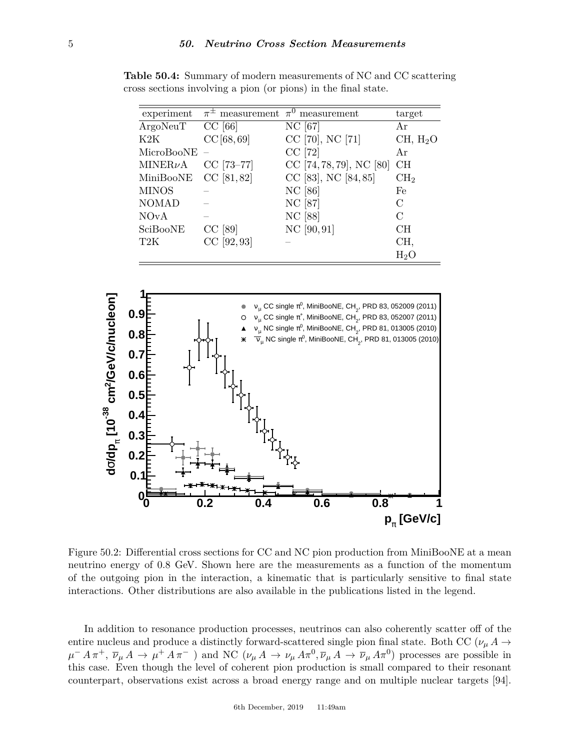| experiment   |            | $\pi^{\pm}$ measurement $\pi^{0}$ measurement | target               |
|--------------|------------|-----------------------------------------------|----------------------|
| ArgoNeuT     | $CC$ [66]  | NC [67]                                       | Αr                   |
| K2K          | CC[68, 69] | CC [70], NC [71]                              | CH, H <sub>2</sub> O |
| MicroBooNE   |            | $CC$ [72]                                     | Ar                   |
| $MINER\nu A$ | CC [73-77] | CC $[74, 78, 79]$ , NC $[80]$                 | CH                   |
| MiniBooNE    | CC [81,82] | CC [83], NC [84,85]                           | CH <sub>2</sub>      |
| <b>MINOS</b> |            | NC [86]                                       | Fe                   |
| <b>NOMAD</b> |            | NC [87]                                       | C                    |
| <b>NOvA</b>  |            | NC [88]                                       | C                    |
| SciBooNE     | $CC$ [89]  | NC [90, 91]                                   | CН                   |
| T2K          | CC [92,93] |                                               | CH,                  |
|              |            |                                               | $H_2O$               |

<span id="page-4-0"></span>**Table 50.4:** Summary of modern measurements of NC and CC scattering cross sections involving a pion (or pions) in the final state.

<span id="page-4-1"></span>

Figure 50.2: Differential cross sections for CC and NC pion production from MiniBooNE at a mean neutrino energy of 0.8 GeV. Shown here are the measurements as a function of the momentum of the outgoing pion in the interaction, a kinematic that is particularly sensitive to final state interactions. Other distributions are also available in the publications listed in the legend.

In addition to resonance production processes, neutrinos can also coherently scatter off of the entire nucleus and produce a distinctly forward-scattered single pion final state. Both CC ( $\nu_{\mu} A \rightarrow$  $\mu^- A \pi^+, \bar{\nu}_{\mu} A \to \mu^+ A \pi^-$  ) and NC  $(\nu_{\mu} A \to \nu_{\mu} A \pi^0, \bar{\nu}_{\mu} A \to \bar{\nu}_{\mu} A \pi^0)$  processes are possible in this case. Even though the level of coherent pion production is small compared to their resonant counterpart, observations exist across a broad energy range and on multiple nuclear targets [\[94\]](#page-9-8).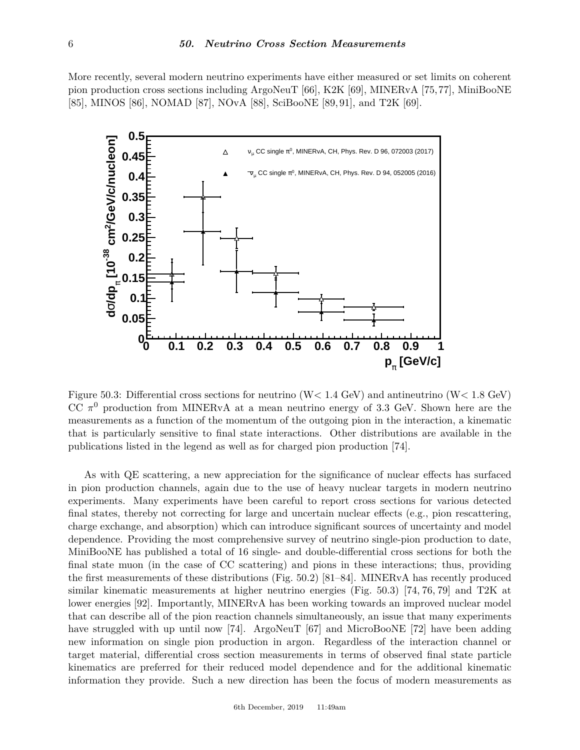More recently, several modern neutrino experiments have either measured or set limits on coherent pion production cross sections including ArgoNeuT [\[66\]](#page-8-16), K2K [\[69\]](#page-8-19), MINERvA [\[75,](#page-8-34)[77\]](#page-8-24), MiniBooNE [\[85\]](#page-8-33), MINOS [\[86\]](#page-9-0), NOMAD [\[87\]](#page-9-1), NOvA [\[88\]](#page-9-2), SciBooNE [\[89,](#page-9-3) [91\]](#page-9-5), and T2K [\[69\]](#page-8-19).

<span id="page-5-0"></span>

Figure 50.3: Differential cross sections for neutrino (W*<* 1*.*4 GeV) and antineutrino (W*<* 1*.*8 GeV) CC  $\pi^0$  production from MINERvA at a mean neutrino energy of 3.3 GeV. Shown here are the measurements as a function of the momentum of the outgoing pion in the interaction, a kinematic that is particularly sensitive to final state interactions. Other distributions are available in the publications listed in the legend as well as for charged pion production [\[74\]](#page-8-25).

As with QE scattering, a new appreciation for the significance of nuclear effects has surfaced in pion production channels, again due to the use of heavy nuclear targets in modern neutrino experiments. Many experiments have been careful to report cross sections for various detected final states, thereby not correcting for large and uncertain nuclear effects (e.g., pion rescattering, charge exchange, and absorption) which can introduce significant sources of uncertainty and model dependence. Providing the most comprehensive survey of neutrino single-pion production to date, MiniBooNE has published a total of 16 single- and double-differential cross sections for both the final state muon (in the case of CC scattering) and pions in these interactions; thus, providing the first measurements of these distributions (Fig. [50.2\)](#page-4-1) [\[81–](#page-8-29)[84\]](#page-8-32). MINERvA has recently produced similar kinematic measurements at higher neutrino energies (Fig. [50.3\)](#page-5-0) [\[74,](#page-8-25) [76,](#page-8-35) [79\]](#page-8-27) and T2K at lower energies [\[92\]](#page-9-6). Importantly, MINERvA has been working towards an improved nuclear model that can describe all of the pion reaction channels simultaneously, an issue that many experiments have struggled with up until now [\[74\]](#page-8-25). ArgoNeuT [\[67\]](#page-8-17) and MicroBooNE [\[72\]](#page-8-22) have been adding new information on single pion production in argon. Regardless of the interaction channel or target material, differential cross section measurements in terms of observed final state particle kinematics are preferred for their reduced model dependence and for the additional kinematic information they provide. Such a new direction has been the focus of modern measurements as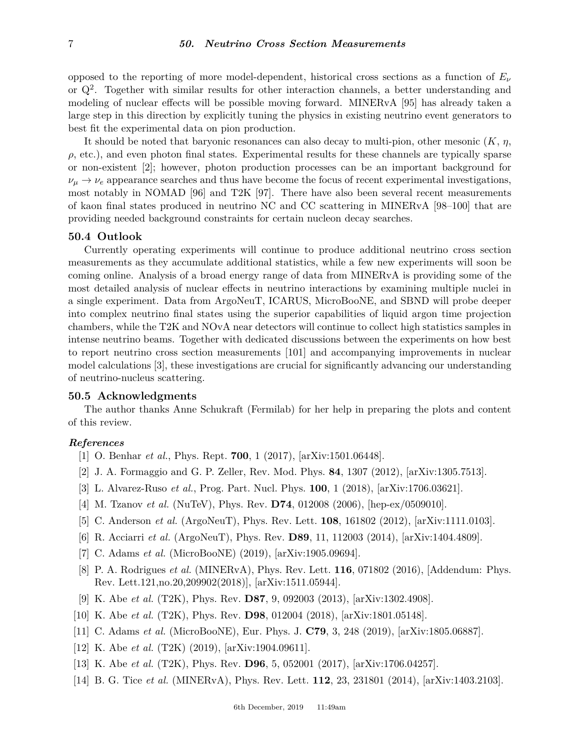opposed to the reporting of more model-dependent, historical cross sections as a function of  $E_\nu$ or  $Q^2$ . Together with similar results for other interaction channels, a better understanding and modeling of nuclear effects will be possible moving forward. MINERvA [\[95\]](#page-9-9) has already taken a large step in this direction by explicitly tuning the physics in existing neutrino event generators to best fit the experimental data on pion production.

It should be noted that baryonic resonances can also decay to multi-pion, other mesonic (*K*, *η*,  $\rho$ , etc.), and even photon final states. Experimental results for these channels are typically sparse or non-existent [\[2\]](#page-6-1); however, photon production processes can be an important background for  $\nu_\mu \to \nu_e$  appearance searches and thus have become the focus of recent experimental investigations, most notably in NOMAD [\[96\]](#page-9-10) and T2K [\[97\]](#page-9-11). There have also been several recent measurements of kaon final states produced in neutrino NC and CC scattering in MINERvA [\[98–](#page-9-12)[100\]](#page-9-13) that are providing needed background constraints for certain nucleon decay searches.

### **50.4 Outlook**

Currently operating experiments will continue to produce additional neutrino cross section measurements as they accumulate additional statistics, while a few new experiments will soon be coming online. Analysis of a broad energy range of data from MINERvA is providing some of the most detailed analysis of nuclear effects in neutrino interactions by examining multiple nuclei in a single experiment. Data from ArgoNeuT, ICARUS, MicroBooNE, and SBND will probe deeper into complex neutrino final states using the superior capabilities of liquid argon time projection chambers, while the T2K and NOvA near detectors will continue to collect high statistics samples in intense neutrino beams. Together with dedicated discussions between the experiments on how best to report neutrino cross section measurements [\[101\]](#page-9-14) and accompanying improvements in nuclear model calculations [\[3\]](#page-6-2), these investigations are crucial for significantly advancing our understanding of neutrino-nucleus scattering.

#### **50.5 Acknowledgments**

The author thanks Anne Schukraft (Fermilab) for her help in preparing the plots and content of this review.

### <span id="page-6-0"></span>*References*

- [1] O. Benhar *et al.*, Phys. Rept. **700**, 1 (2017), [arXiv:1501.06448].
- <span id="page-6-1"></span>[2] J. A. Formaggio and G. P. Zeller, Rev. Mod. Phys. **84**, 1307 (2012), [arXiv:1305.7513].
- <span id="page-6-2"></span>[3] L. Alvarez-Ruso *et al.*, Prog. Part. Nucl. Phys. **100**, 1 (2018), [arXiv:1706.03621].
- <span id="page-6-3"></span>[4] M. Tzanov *et al.* (NuTeV), Phys. Rev. **D74**, 012008 (2006), [hep-ex/0509010].
- <span id="page-6-4"></span>[5] C. Anderson *et al.* (ArgoNeuT), Phys. Rev. Lett. **108**, 161802 (2012), [arXiv:1111.0103].
- <span id="page-6-5"></span>[6] R. Acciarri *et al.* (ArgoNeuT), Phys. Rev. **D89**, 11, 112003 (2014), [arXiv:1404.4809].
- <span id="page-6-6"></span>[7] C. Adams *et al.* (MicroBooNE) (2019), [arXiv:1905.09694].
- <span id="page-6-7"></span>[8] P. A. Rodrigues *et al.* (MINERvA), Phys. Rev. Lett. **116**, 071802 (2016), [Addendum: Phys. Rev. Lett.121,no.20,209902(2018)], [arXiv:1511.05944].
- <span id="page-6-8"></span>[9] K. Abe *et al.* (T2K), Phys. Rev. **D87**, 9, 092003 (2013), [arXiv:1302.4908].
- <span id="page-6-10"></span><span id="page-6-9"></span>[10] K. Abe *et al.* (T2K), Phys. Rev. **D98**, 012004 (2018), [arXiv:1801.05148].
- [11] C. Adams *et al.* (MicroBooNE), Eur. Phys. J. **C79**, 3, 248 (2019), [arXiv:1805.06887].
- <span id="page-6-11"></span>[12] K. Abe *et al.* (T2K) (2019), [arXiv:1904.09611].
- <span id="page-6-13"></span><span id="page-6-12"></span>[13] K. Abe *et al.* (T2K), Phys. Rev. **D96**, 5, 052001 (2017), [arXiv:1706.04257].
- [14] B. G. Tice *et al.* (MINERvA), Phys. Rev. Lett. **112**, 23, 231801 (2014), [arXiv:1403.2103].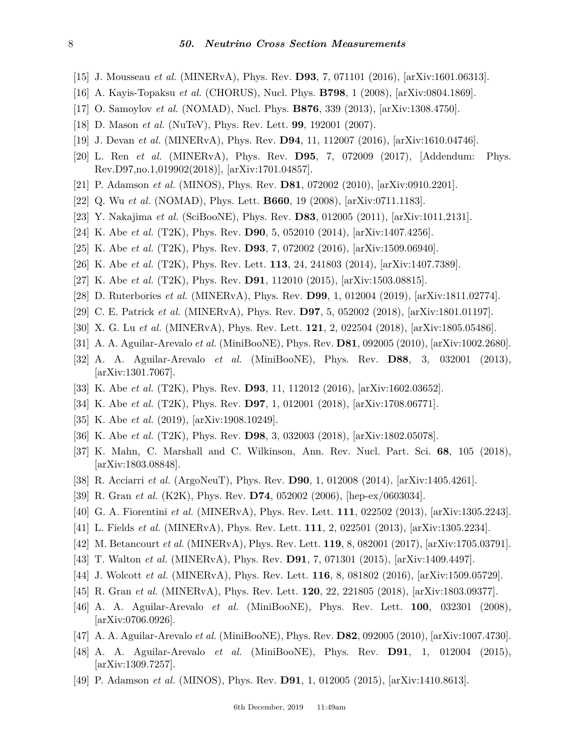- <span id="page-7-0"></span>[15] J. Mousseau *et al.* (MINERvA), Phys. Rev. **D93**, 7, 071101 (2016), [arXiv:1601.06313].
- <span id="page-7-1"></span>[16] A. Kayis-Topaksu *et al.* (CHORUS), Nucl. Phys. **B798**, 1 (2008), [arXiv:0804.1869].
- <span id="page-7-2"></span>[17] O. Samoylov *et al.* (NOMAD), Nucl. Phys. **B876**, 339 (2013), [arXiv:1308.4750].
- <span id="page-7-3"></span>[18] D. Mason *et al.* (NuTeV), Phys. Rev. Lett. **99**, 192001 (2007).
- <span id="page-7-4"></span>[19] J. Devan *et al.* (MINERvA), Phys. Rev. **D94**, 11, 112007 (2016), [arXiv:1610.04746].
- <span id="page-7-5"></span>[20] L. Ren *et al.* (MINERvA), Phys. Rev. **D95**, 7, 072009 (2017), [Addendum: Phys. Rev.D97,no.1,019902(2018)], [arXiv:1701.04857].
- <span id="page-7-6"></span>[21] P. Adamson *et al.* (MINOS), Phys. Rev. **D81**, 072002 (2010), [arXiv:0910.2201].
- <span id="page-7-7"></span>[22] Q. Wu *et al.* (NOMAD), Phys. Lett. **B660**, 19 (2008), [arXiv:0711.1183].
- <span id="page-7-8"></span>[23] Y. Nakajima *et al.* (SciBooNE), Phys. Rev. **D83**, 012005 (2011), [arXiv:1011.2131].
- <span id="page-7-9"></span>[24] K. Abe *et al.* (T2K), Phys. Rev. **D90**, 5, 052010 (2014), [arXiv:1407.4256].
- <span id="page-7-10"></span>[25] K. Abe *et al.* (T2K), Phys. Rev. **D93**, 7, 072002 (2016), [arXiv:1509.06940].
- <span id="page-7-11"></span>[26] K. Abe *et al.* (T2K), Phys. Rev. Lett. **113**, 24, 241803 (2014), [arXiv:1407.7389].
- <span id="page-7-12"></span>[27] K. Abe *et al.* (T2K), Phys. Rev. **D91**, 112010 (2015), [arXiv:1503.08815].
- <span id="page-7-13"></span>[28] D. Ruterbories *et al.* (MINERvA), Phys. Rev. **D99**, 1, 012004 (2019), [arXiv:1811.02774].
- <span id="page-7-24"></span>[29] C. E. Patrick *et al.* (MINERvA), Phys. Rev. **D97**, 5, 052002 (2018), [arXiv:1801.01197].
- <span id="page-7-25"></span>[30] X. G. Lu *et al.* (MINERvA), Phys. Rev. Lett. **121**, 2, 022504 (2018), [arXiv:1805.05486].
- <span id="page-7-16"></span>[31] A. A. Aguilar-Arevalo *et al.* (MiniBooNE), Phys. Rev. **D81**, 092005 (2010), [arXiv:1002.2680].
- <span id="page-7-17"></span>[32] A. A. Aguilar-Arevalo *et al.* (MiniBooNE), Phys. Rev. **D88**, 3, 032001 (2013), [arXiv:1301.7067].
- <span id="page-7-31"></span>[33] K. Abe *et al.* (T2K), Phys. Rev. **D93**, 11, 112012 (2016), [arXiv:1602.03652].
- [34] K. Abe *et al.* (T2K), Phys. Rev. **D97**, 1, 012001 (2018), [arXiv:1708.06771].
- <span id="page-7-32"></span>[35] K. Abe *et al.* (2019), [arXiv:1908.10249].
- <span id="page-7-14"></span>[36] K. Abe *et al.* (T2K), Phys. Rev. **D98**, 3, 032003 (2018), [arXiv:1802.05078].
- <span id="page-7-15"></span>[37] K. Mahn, C. Marshall and C. Wilkinson, Ann. Rev. Nucl. Part. Sci. **68**, 105 (2018), [arXiv:1803.08848].
- <span id="page-7-18"></span>[38] R. Acciarri *et al.* (ArgoNeuT), Phys. Rev. **D90**, 1, 012008 (2014), [arXiv:1405.4261].
- <span id="page-7-19"></span>[39] R. Gran *et al.* (K2K), Phys. Rev. **D74**, 052002 (2006), [hep-ex/0603034].
- <span id="page-7-20"></span>[40] G. A. Fiorentini *et al.* (MINERvA), Phys. Rev. Lett. **111**, 022502 (2013), [arXiv:1305.2243].
- [41] L. Fields *et al.* (MINERvA), Phys. Rev. Lett. **111**, 2, 022501 (2013), [arXiv:1305.2234].
- <span id="page-7-21"></span>[42] M. Betancourt *et al.* (MINERvA), Phys. Rev. Lett. **119**, 8, 082001 (2017), [arXiv:1705.03791].
- <span id="page-7-22"></span>[43] T. Walton *et al.* (MINERvA), Phys. Rev. **D91**, 7, 071301 (2015), [arXiv:1409.4497].
- <span id="page-7-23"></span>[44] J. Wolcott *et al.* (MINERvA), Phys. Rev. Lett. **116**, 8, 081802 (2016), [arXiv:1509.05729].
- <span id="page-7-26"></span>[45] R. Gran *et al.* (MINERvA), Phys. Rev. Lett. **120**, 22, 221805 (2018), [arXiv:1803.09377].
- <span id="page-7-27"></span>[46] A. A. Aguilar-Arevalo *et al.* (MiniBooNE), Phys. Rev. Lett. **100**, 032301 (2008), [arXiv:0706.0926].
- <span id="page-7-28"></span>[47] A. A. Aguilar-Arevalo *et al.* (MiniBooNE), Phys. Rev. **D82**, 092005 (2010), [arXiv:1007.4730].
- <span id="page-7-29"></span>[48] A. A. Aguilar-Arevalo *et al.* (MiniBooNE), Phys. Rev. **D91**, 1, 012004 (2015), [arXiv:1309.7257].
- <span id="page-7-30"></span>[49] P. Adamson *et al.* (MINOS), Phys. Rev. **D91**, 1, 012005 (2015), [arXiv:1410.8613].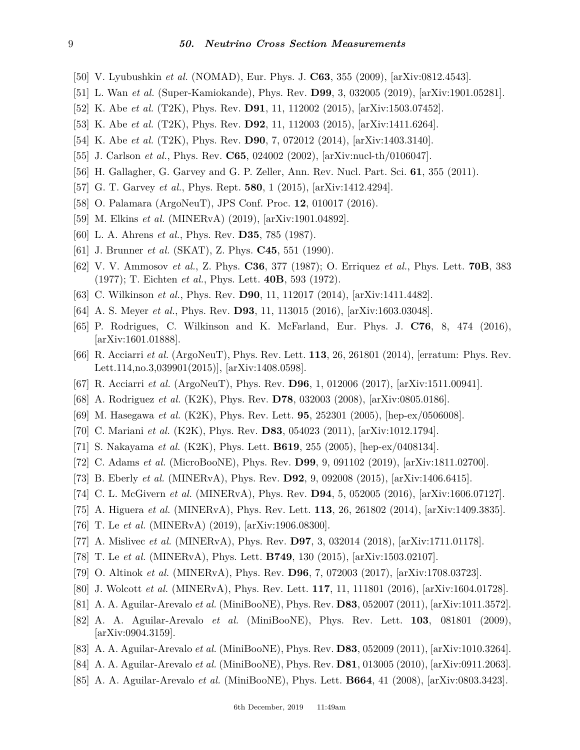- <span id="page-8-1"></span>[50] V. Lyubushkin *et al.* (NOMAD), Eur. Phys. J. **C63**, 355 (2009), [arXiv:0812.4543].
- <span id="page-8-2"></span>[51] L. Wan *et al.* (Super-Kamiokande), Phys. Rev. **D99**, 3, 032005 (2019), [arXiv:1901.05281].
- <span id="page-8-3"></span>[52] K. Abe *et al.* (T2K), Phys. Rev. **D91**, 11, 112002 (2015), [arXiv:1503.07452].
- <span id="page-8-4"></span>[53] K. Abe *et al.* (T2K), Phys. Rev. **D92**, 11, 112003 (2015), [arXiv:1411.6264].
- <span id="page-8-5"></span>[54] K. Abe *et al.* (T2K), Phys. Rev. **D90**, 7, 072012 (2014), [arXiv:1403.3140].
- <span id="page-8-0"></span>[55] J. Carlson *et al.*, Phys. Rev. **C65**, 024002 (2002), [arXiv:nucl-th/0106047].
- <span id="page-8-6"></span>[56] H. Gallagher, G. Garvey and G. P. Zeller, Ann. Rev. Nucl. Part. Sci. **61**, 355 (2011).
- <span id="page-8-7"></span>[57] G. T. Garvey *et al.*, Phys. Rept. **580**, 1 (2015), [arXiv:1412.4294].
- <span id="page-8-8"></span>[58] O. Palamara (ArgoNeuT), JPS Conf. Proc. **12**, 010017 (2016).
- <span id="page-8-9"></span>[59] M. Elkins *et al.* (MINERvA) (2019), [arXiv:1901.04892].
- <span id="page-8-10"></span>[60] L. A. Ahrens *et al.*, Phys. Rev. **D35**, 785 (1987).
- <span id="page-8-11"></span>[61] J. Brunner *et al.* (SKAT), Z. Phys. **C45**, 551 (1990).
- <span id="page-8-12"></span>[62] V. V. Ammosov *et al.*, Z. Phys. **C36**, 377 (1987); O. Erriquez *et al.*, Phys. Lett. **70B**, 383 (1977); T. Eichten *et al.*, Phys. Lett. **40B**, 593 (1972).
- <span id="page-8-13"></span>[63] C. Wilkinson *et al.*, Phys. Rev. **D90**, 11, 112017 (2014), [arXiv:1411.4482].
- <span id="page-8-14"></span>[64] A. S. Meyer *et al.*, Phys. Rev. **D93**, 11, 113015 (2016), [arXiv:1603.03048].
- <span id="page-8-15"></span>[65] P. Rodrigues, C. Wilkinson and K. McFarland, Eur. Phys. J. **C76**, 8, 474 (2016), [arXiv:1601.01888].
- <span id="page-8-16"></span>[66] R. Acciarri *et al.* (ArgoNeuT), Phys. Rev. Lett. **113**, 26, 261801 (2014), [erratum: Phys. Rev. Lett.114,no.3,039901(2015)], [arXiv:1408.0598].
- <span id="page-8-17"></span>[67] R. Acciarri *et al.* (ArgoNeuT), Phys. Rev. **D96**, 1, 012006 (2017), [arXiv:1511.00941].
- <span id="page-8-18"></span>[68] A. Rodriguez *et al.* (K2K), Phys. Rev. **D78**, 032003 (2008), [arXiv:0805.0186].
- <span id="page-8-19"></span>[69] M. Hasegawa *et al.* (K2K), Phys. Rev. Lett. **95**, 252301 (2005), [hep-ex/0506008].
- <span id="page-8-20"></span>[70] C. Mariani *et al.* (K2K), Phys. Rev. **D83**, 054023 (2011), [arXiv:1012.1794].
- <span id="page-8-21"></span>[71] S. Nakayama *et al.* (K2K), Phys. Lett. **B619**, 255 (2005), [hep-ex/0408134].
- <span id="page-8-22"></span>[72] C. Adams *et al.* (MicroBooNE), Phys. Rev. **D99**, 9, 091102 (2019), [arXiv:1811.02700].
- <span id="page-8-23"></span>[73] B. Eberly *et al.* (MINERvA), Phys. Rev. **D92**, 9, 092008 (2015), [arXiv:1406.6415].
- <span id="page-8-25"></span>[74] C. L. McGivern *et al.* (MINERvA), Phys. Rev. **D94**, 5, 052005 (2016), [arXiv:1606.07127].
- <span id="page-8-34"></span>[75] A. Higuera *et al.* (MINERvA), Phys. Rev. Lett. **113**, 26, 261802 (2014), [arXiv:1409.3835].
- <span id="page-8-35"></span>[76] T. Le *et al.* (MINERvA) (2019), [arXiv:1906.08300].
- <span id="page-8-24"></span>[77] A. Mislivec *et al.* (MINERvA), Phys. Rev. **D97**, 3, 032014 (2018), [arXiv:1711.01178].
- <span id="page-8-26"></span>[78] T. Le *et al.* (MINERvA), Phys. Lett. **B749**, 130 (2015), [arXiv:1503.02107].
- <span id="page-8-27"></span>[79] O. Altinok *et al.* (MINERvA), Phys. Rev. **D96**, 7, 072003 (2017), [arXiv:1708.03723].
- <span id="page-8-28"></span>[80] J. Wolcott *et al.* (MINERvA), Phys. Rev. Lett. **117**, 11, 111801 (2016), [arXiv:1604.01728].
- <span id="page-8-29"></span>[81] A. A. Aguilar-Arevalo *et al.* (MiniBooNE), Phys. Rev. **D83**, 052007 (2011), [arXiv:1011.3572].
- <span id="page-8-30"></span>[82] A. A. Aguilar-Arevalo *et al.* (MiniBooNE), Phys. Rev. Lett. **103**, 081801 (2009), [arXiv:0904.3159].
- <span id="page-8-31"></span>[83] A. A. Aguilar-Arevalo *et al.* (MiniBooNE), Phys. Rev. **D83**, 052009 (2011), [arXiv:1010.3264].
- <span id="page-8-32"></span>[84] A. A. Aguilar-Arevalo *et al.* (MiniBooNE), Phys. Rev. **D81**, 013005 (2010), [arXiv:0911.2063].
- <span id="page-8-33"></span>[85] A. A. Aguilar-Arevalo *et al.* (MiniBooNE), Phys. Lett. **B664**, 41 (2008), [arXiv:0803.3423].